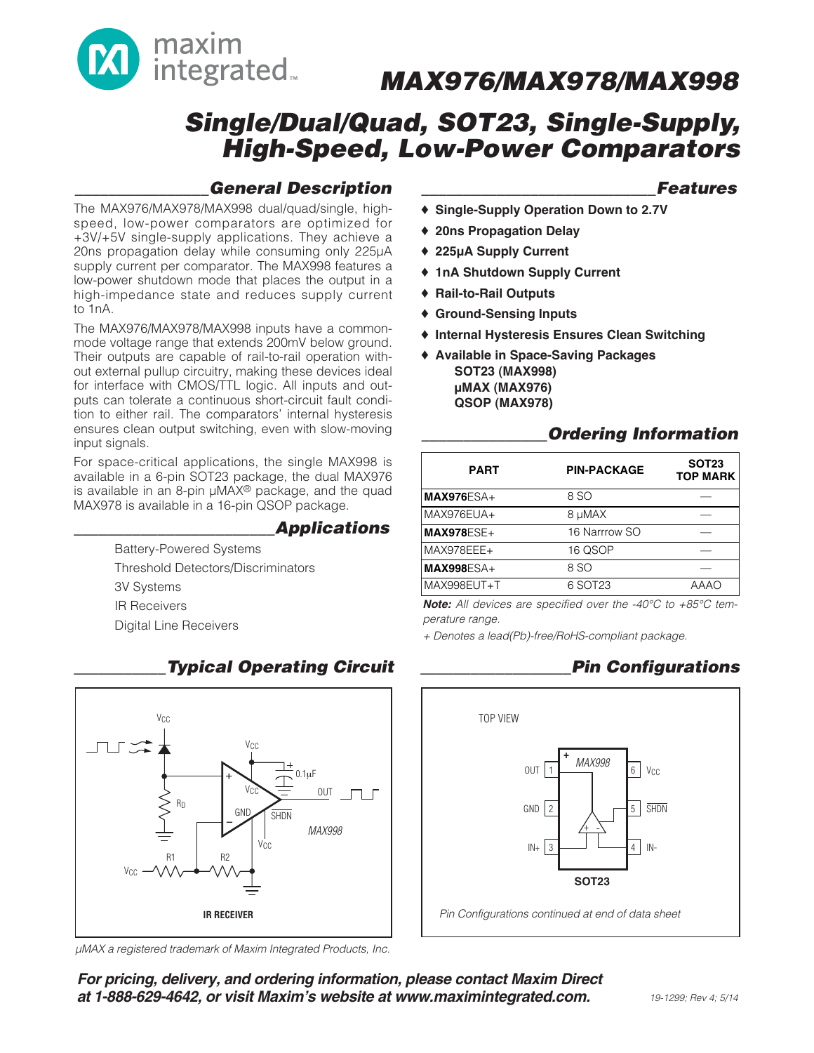

# **Single/Dual/Quad, SOT23, Single-Supply, High-Speed, Low-Power Comparators**

### **\_\_\_\_\_\_\_\_\_\_\_\_\_\_\_\_General Description**

The MAX976/MAX978/MAX998 dual/quad/single, highspeed, low-power comparators are optimized for +3V/+5V single-supply applications. They achieve a 20ns propagation delay while consuming only 225µA supply current per comparator. The MAX998 features a low-power shutdown mode that places the output in a high-impedance state and reduces supply current to 1nA.

The MAX976/MAX978/MAX998 inputs have a commonmode voltage range that extends 200mV below ground. Their outputs are capable of rail-to-rail operation without external pullup circuitry, making these devices ideal for interface with CMOS/TTL logic. All inputs and outputs can tolerate a continuous short-circuit fault condition to either rail. The comparators' internal hysteresis ensures clean output switching, even with slow-moving input signals.

For space-critical applications, the single MAX998 is available in a 6-pin SOT23 package, the dual MAX976 is available in an 8-pin µMAX® package, and the quad MAX978 is available in a 16-pin QSOP package.

### **\_\_\_\_\_\_\_\_\_\_\_\_\_\_\_\_\_\_\_\_\_\_\_\_Applications**

Battery-Powered Systems Threshold Detectors/Discriminators 3V Systems IR Receivers Digital Line Receivers



### **\_\_\_\_\_\_\_\_\_\_\_Typical Operating Circuit**

µMAX a registered trademark of Maxim Integrated Products, Inc.

**For pricing, delivery, and ordering information, please contact Maxim Direct at 1-888-629-4642, or visit Maxim's website at www.maximintegrated.com.**

### **\_\_\_\_\_\_\_\_\_\_\_\_\_\_\_\_\_\_\_\_\_\_\_\_\_\_\_\_Features**

- ♦ **Single-Supply Operation Down to 2.7V**
- ♦ **20ns Propagation Delay**
- ♦ **225µA Supply Current**
- ♦ **1nA Shutdown Supply Current**
- ♦ **Rail-to-Rail Outputs**
- ♦ **Ground-Sensing Inputs**
- ♦ **Internal Hysteresis Ensures Clean Switching**
- ♦ **Available in Space-Saving Packages SOT23 (MAX998) µMAX (MAX976) QSOP (MAX978)**

### **\_\_\_\_\_\_\_\_\_\_\_\_\_\_\_Ordering Information**

| <b>PART</b>       | <b>PIN-PACKAGE</b> | <b>SOT23</b><br><b>TOP MARK</b> |
|-------------------|--------------------|---------------------------------|
| <b>MAX976ESA+</b> | 8 SO               |                                 |
| MAX976EUA+        | 8 µMAX             |                                 |
| $MAX978ESE+$      | 16 Narrrow SO      |                                 |
| MAX978EEE+        | 16 QSOP            |                                 |
| $MAX998ESA+$      | 8 SO               |                                 |
| MAX998EUT+T       | 6 SOT23            | AAAO                            |
|                   |                    |                                 |

**Note:** All devices are specified over the -40°C to +85°C temperature range.

+ Denotes a lead(Pb)-free/RoHS-compliant package.

### **\_\_\_\_\_\_\_\_\_\_\_\_\_\_\_\_\_\_Pin Configurations**

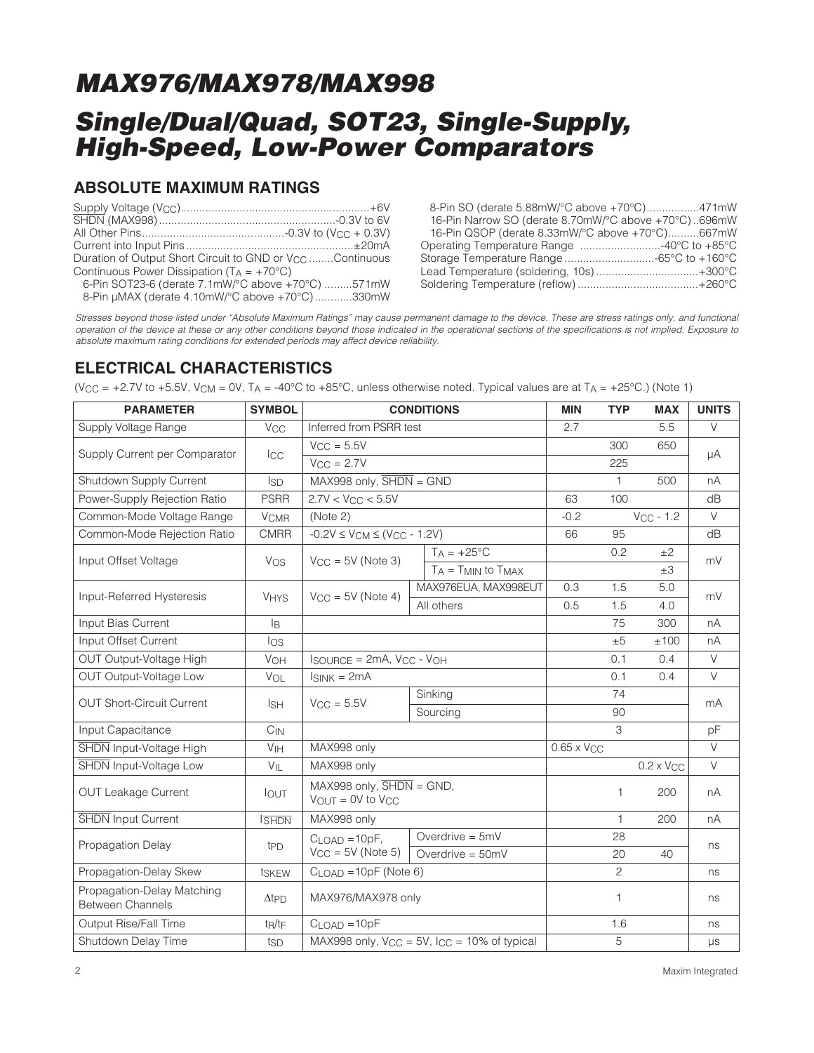# **Single/Dual/Quad, SOT23, Single-Supply, High-Speed, Low-Power Comparators**

### **ABSOLUTE MAXIMUM RATINGS**

| Duration of Output Short Circuit to GND or V <sub>CC</sub> Continuous |  |
|-----------------------------------------------------------------------|--|
| Continuous Power Dissipation $(T_A = +70^{\circ}C)$                   |  |
| 6-Pin SOT23-6 (derate 7.1mW/°C above +70°C) 571mW                     |  |

8-Pin µMAX (derate 4.10mW/°C above +70°C) ............330mW

8-Pin SO (derate 5.88mW/°C above +70°C).................471mW 16-Pin Narrow SO (derate 8.70mW/°C above +70°C) ..696mW 16-Pin QSOP (derate 8.33mW/°C above +70°C)..........667mW Operating Temperature Range ..........................-40°C to +85°C Storage Temperature Range .............................-65°C to +160°C Lead Temperature (soldering, 10s) .................................+300°C Soldering Temperature (reflow) .......................................+260°C

Stresses beyond those listed under "Absolute Maximum Ratings" may cause permanent damage to the device. These are stress ratings only, and functional operation of the device at these or any other conditions beyond those indicated in the operational sections of the specifications is not implied. Exposure to absolute maximum rating conditions for extended periods may affect device reliability.

### **ELECTRICAL CHARACTERISTICS**

(V<sub>CC</sub> = +2.7V to +5.5V, V<sub>CM</sub> = 0V, T<sub>A</sub> = -40°C to +85°C, unless otherwise noted. Typical values are at T<sub>A</sub> = +25°C.) (Note 1)

| <b>PARAMETER</b>                                      | <b>SYMBOL</b>          | <b>CONDITIONS</b>                                                      |          | <b>MIN</b>                   | <b>TYP</b>     | <b>MAX</b> | <b>UNITS</b>        |        |
|-------------------------------------------------------|------------------------|------------------------------------------------------------------------|----------|------------------------------|----------------|------------|---------------------|--------|
| Supply Voltage Range                                  | <b>V<sub>CC</sub></b>  | Inferred from PSRR test                                                |          | 2.7                          |                | 5.5        | $\vee$              |        |
|                                                       |                        | $V_{CC} = 5.5V$                                                        |          |                              |                | 300        | 650                 |        |
| Supply Current per Comparator                         | <b>I</b> CC            | $V_{CC} = 2.7V$                                                        |          |                              |                | 225        |                     | μA     |
| Shutdown Supply Current                               | <b>ISD</b>             | $MAX998$ only, $\overline{SHDN} = GND$                                 |          |                              |                | 1.         | 500                 | nA     |
| Power-Supply Rejection Ratio                          | <b>PSRR</b>            | $2.7V < V_{CC} < 5.5V$                                                 |          |                              | 63             | 100        |                     | dB     |
| Common-Mode Voltage Range                             | <b>V<sub>CMR</sub></b> | (Note 2)                                                               |          |                              | $-0.2$         |            | $V_{CC}$ - 1.2      | $\vee$ |
| Common-Mode Rejection Ratio                           | <b>CMRR</b>            | $-0.2V \le V_{CM} \le (V_{CC} - 1.2V)$                                 |          |                              | 66             | 95         |                     | dB     |
| Input Offset Voltage                                  | Vos                    | $V_{\text{CC}} = 5V$ (Note 3)                                          |          | $T_A = +25^{\circ}C$         |                | 0.2        | ±2                  | mV     |
|                                                       |                        |                                                                        |          | $T_A = T_{MIN}$ to $T_{MAX}$ |                |            | $\pm 3$             |        |
| Input-Referred Hysteresis                             | <b>VHYS</b>            | $V_{CC} = 5V$ (Note 4)                                                 |          | MAX976EUA, MAX998EUT         | 0.3            | 1.5        | 5.0                 | mV     |
|                                                       |                        |                                                                        |          | All others                   | 0.5            | 1.5        | 4.0                 |        |
| Input Bias Current                                    | l <sub>B</sub>         |                                                                        |          |                              |                | 75         | 300                 | nA     |
| Input Offset Current                                  | los                    |                                                                        |          |                              |                | ±5         | ±100                | nA     |
| OUT Output-Voltage High                               | <b>VOH</b>             | $I$ SOURCE = 2mA, $V_{CC}$ - $V_{OH}$                                  |          |                              |                | 0.1        | 0.4                 | $\vee$ |
| OUT Output-Voltage Low                                | VOL                    | $I_{SINK} = 2mA$                                                       |          |                              |                | 0.1        | 0.4                 | $\vee$ |
| <b>OUT Short-Circuit Current</b>                      | $I_{\rm SH}$           | $V_{CC} = 5.5V$                                                        |          | Sinking                      |                | 74         |                     | mA     |
|                                                       |                        |                                                                        | Sourcing |                              |                | 90         |                     |        |
| Input Capacitance                                     | $C_{IN}$               |                                                                        |          |                              | 3              |            | pF                  |        |
| SHDN Input-Voltage High                               | VIH                    | MAX998 only                                                            |          | $0.65 \times$ VCC            |                |            | $\vee$              |        |
| SHDN Input-Voltage Low                                | $V_{IL}$               | MAX998 only                                                            |          |                              |                |            | $0.2 \times V_{CC}$ | $\vee$ |
| <b>OUT Leakage Current</b>                            | <b>IOUT</b>            | $MAX998$ only, $\overline{SHDN} = GND$ ,<br>$V_{OUT} = 0V$ to $V_{CC}$ |          |                              | 1              | 200        | nA                  |        |
| <b>SHDN</b> Input Current                             | <b>SHDN</b>            | MAX998 only                                                            |          |                              | 1              | 200        | nA                  |        |
| Propagation Delay                                     |                        | $CLOAD = 10pF,$                                                        |          | Overdrive $= 5mV$            |                | 28         |                     | ns     |
|                                                       | t <sub>PD</sub>        | $V_{CC} = 5V$ (Note 5)                                                 |          | Overdrive $=$ 50mV           |                | 20         | 40                  |        |
| Propagation-Delay Skew                                | tskEw                  | $CLOAD = 10pF (Note 6)$                                                |          |                              | $\overline{c}$ |            | ns                  |        |
| Propagation-Delay Matching<br><b>Between Channels</b> | $\Delta t$ PD          | MAX976/MAX978 only                                                     |          |                              | 1              |            | ns                  |        |
| Output Rise/Fall Time                                 | tR/tF                  | $C$ <sub>LOAD</sub> = $10pF$                                           |          |                              |                | 1.6        |                     | ns     |
| Shutdown Delay Time                                   | tsp                    | MAX998 only, $V_{CC} = 5V$ , $I_{CC} = 10\%$ of typical                |          |                              | 5              |            | μs                  |        |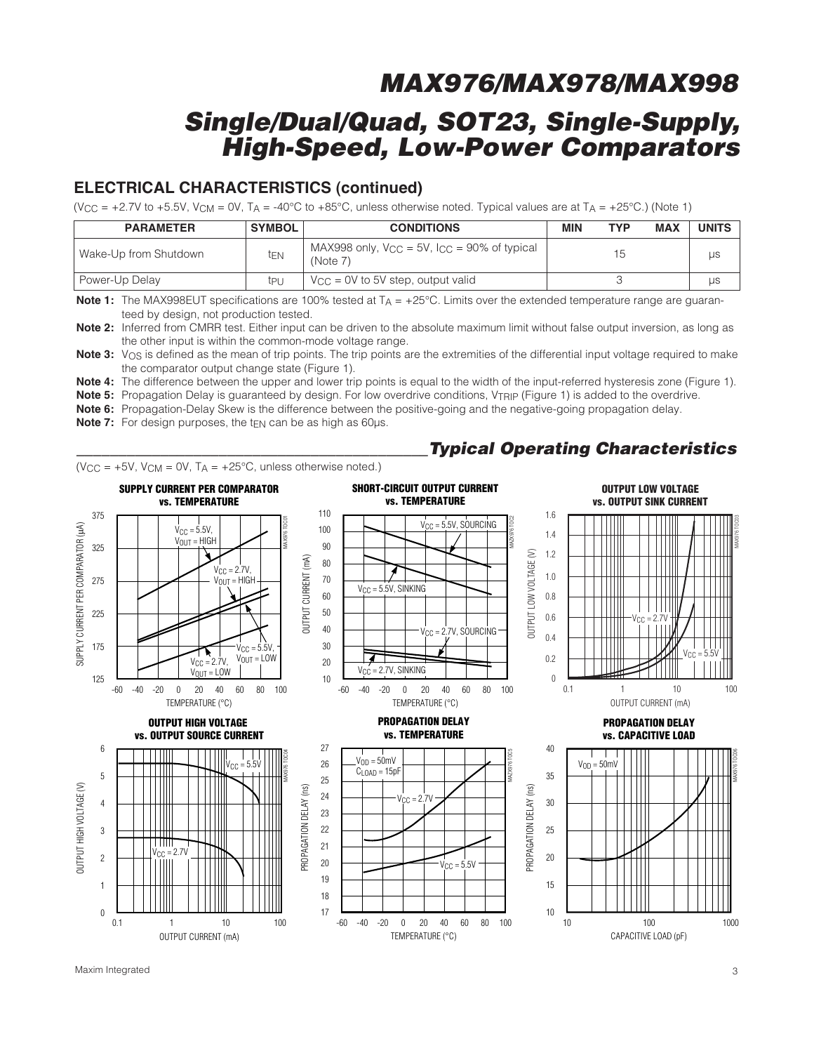### **Single/Dual/Quad, SOT23, Single-Supply, High-Speed, Low-Power Comparators**

### **ELECTRICAL CHARACTERISTICS (continued)**

(V<sub>CC</sub> = +2.7V to +5.5V, V<sub>CM</sub> = 0V, T<sub>A</sub> = -40°C to +85°C, unless otherwise noted. Typical values are at T<sub>A</sub> = +25°C.) (Note 1)

| <b>PARAMETER</b>      | <b>SYMBOL</b> | <b>CONDITIONS</b>                                                   | <b>MIN</b> | TYP | <b>MAX</b> | <b>UNITS</b> |
|-----------------------|---------------|---------------------------------------------------------------------|------------|-----|------------|--------------|
| Wake-Up from Shutdown | ten           | MAX998 only, $V_{CC} = 5V$ , $I_{CC} = 90\%$ of typical<br>(Note 7) |            | 15  |            | us           |
| Power-Up Delay        | tpı           | $V_{CC}$ = 0V to 5V step, output valid                              |            |     |            | μs           |

**Note 1:** The MAX998EUT specifications are 100% tested at T<sub>A</sub> = +25°C. Limits over the extended temperature range are guaranteed by design, not production tested.

**Note 2:** Inferred from CMRR test. Either input can be driven to the absolute maximum limit without false output inversion, as long as the other input is within the common-mode voltage range.

**Note 3:** V<sub>OS</sub> is defined as the mean of trip points. The trip points are the extremities of the differential input voltage required to make the comparator output change state (Figure 1).

**Note 4:** The difference between the upper and lower trip points is equal to the width of the input-referred hysteresis zone (Figure 1).

**Note 5:** Propagation Delay is guaranteed by design. For low overdrive conditions, VTRIP (Figure 1) is added to the overdrive.

**Note 6:** Propagation-Delay Skew is the difference between the positive-going and the negative-going propagation delay.

**Note 7:** For design purposes, the t<sub>EN</sub> can be as high as 60µs.

### **\_\_\_\_\_\_\_\_\_\_\_\_\_\_\_\_\_\_\_\_\_\_\_\_\_\_\_\_\_\_\_\_\_\_\_\_\_\_\_\_\_\_Typical Operating Characteristics**



Maxim Integrated 3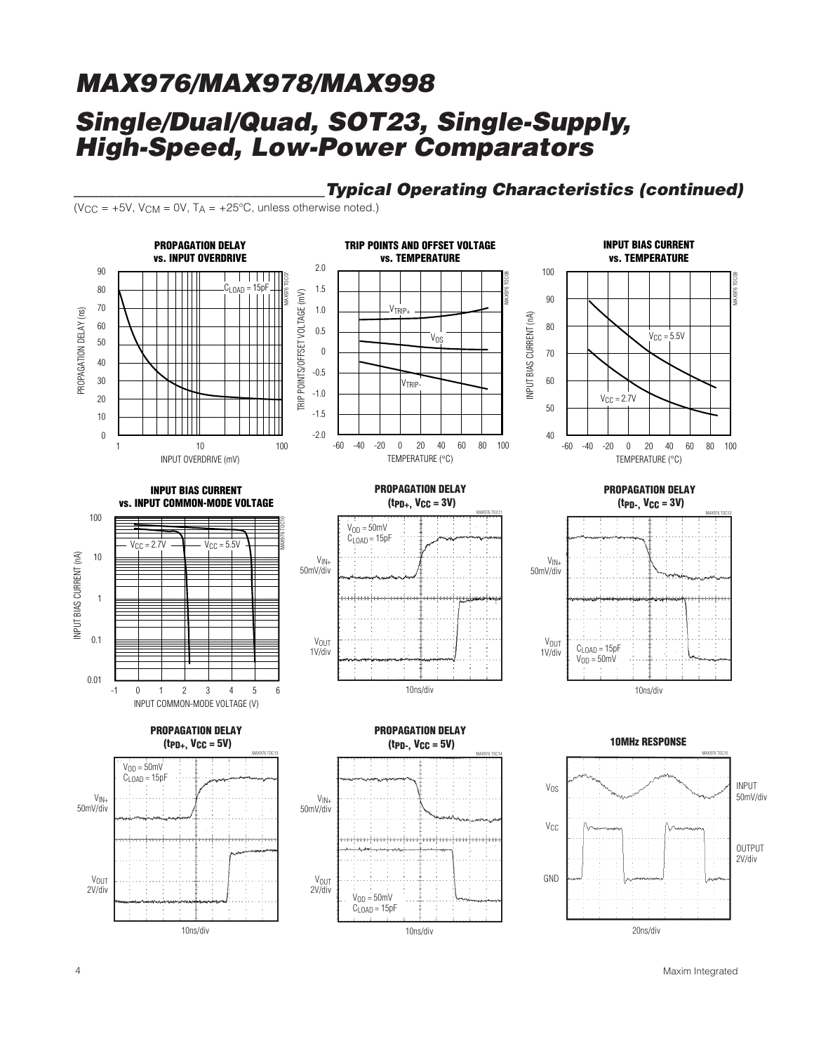### **\_\_\_\_\_\_\_\_\_\_\_\_\_\_\_\_\_\_\_\_\_\_\_\_\_\_\_\_\_\_Typical Operating Characteristics (continued)**

 $(V_{CC} = +5V, V_{CM} = 0V, T_A = +25°C,$  unless otherwise noted.)

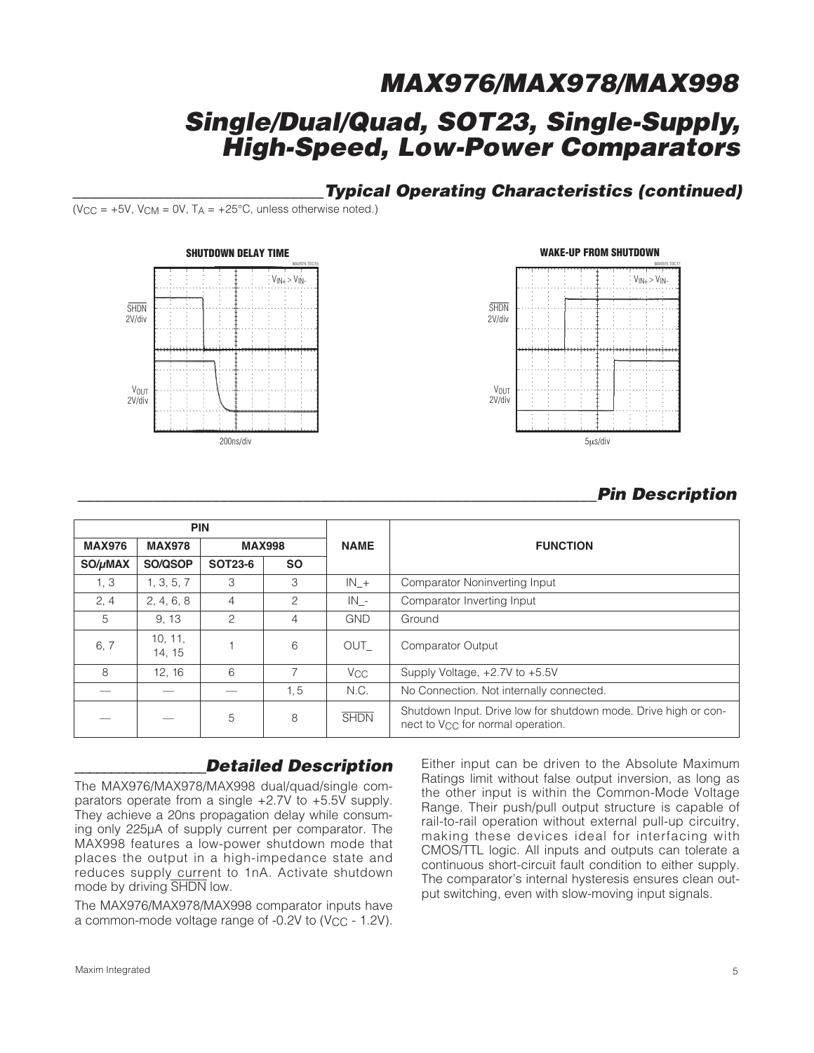### **\_\_\_\_\_\_\_\_\_\_\_\_\_\_\_\_\_\_\_\_\_\_\_\_\_\_\_\_\_\_Typical Operating Characteristics (continued)**

(V<sub>CC</sub> =  $+5V$ , V<sub>CM</sub> = 0V, T<sub>A</sub> =  $+25^{\circ}$ C, unless otherwise noted.)





### **\_\_\_\_\_\_\_\_\_\_\_\_\_\_\_\_\_\_\_\_\_\_\_\_\_\_\_\_\_\_\_\_\_\_\_\_\_\_\_\_\_\_\_\_\_\_\_\_\_\_\_\_\_\_\_\_\_\_\_\_\_\_Pin Description**

|               |                   | <b>PIN</b>     |           |                       |                                                                                                                  |
|---------------|-------------------|----------------|-----------|-----------------------|------------------------------------------------------------------------------------------------------------------|
| <b>MAX976</b> | <b>MAX978</b>     | <b>MAX998</b>  |           | <b>NAME</b>           | <b>FUNCTION</b>                                                                                                  |
| SO/µMAX       | SO/QSOP           | <b>SOT23-6</b> | <b>SO</b> |                       |                                                                                                                  |
| 1, 3          | 1, 3, 5, 7        | 3              | 3         | $IN_{+}$              | Comparator Noninverting Input                                                                                    |
| 2, 4          | 2, 4, 6, 8        | $\overline{4}$ | 2         | $IN -$                | Comparator Inverting Input                                                                                       |
| 5             | 9, 13             | 2              | 4         | <b>GND</b>            | Ground                                                                                                           |
| 6,7           | 10, 11,<br>14, 15 |                | 6         | OUT                   | <b>Comparator Output</b>                                                                                         |
| 8             | 12, 16            | 6              |           | <b>V<sub>CC</sub></b> | Supply Voltage, +2.7V to +5.5V                                                                                   |
|               |                   |                | 1, 5      | N.C.                  | No Connection. Not internally connected.                                                                         |
|               |                   | 5              | 8         | <b>SHDN</b>           | Shutdown Input. Drive low for shutdown mode. Drive high or con-<br>nect to V <sub>CC</sub> for normal operation. |

### **\_\_\_\_\_\_\_\_\_\_\_\_\_\_\_\_\_\_Detailed Description**

The MAX976/MAX978/MAX998 dual/quad/single comparators operate from a single +2.7V to +5.5V supply. They achieve a 20ns propagation delay while consuming only 225µA of supply current per comparator. The MAX998 features a low-power shutdown mode that places the output in a high-impedance state and reduces supply current to 1nA. Activate shutdown mode by driving SHDN low.

The MAX976/MAX978/MAX998 comparator inputs have a common-mode voltage range of -0.2V to (V<sub>CC</sub> - 1.2V). Either input can be driven to the Absolute Maximum Ratings limit without false output inversion, as long as the other input is within the Common-Mode Voltage Range. Their push/pull output structure is capable of rail-to-rail operation without external pull-up circuitry, making these devices ideal for interfacing with CMOS/TTL logic. All inputs and outputs can tolerate a continuous short-circuit fault condition to either supply. The comparator's internal hysteresis ensures clean output switching, even with slow-moving input signals.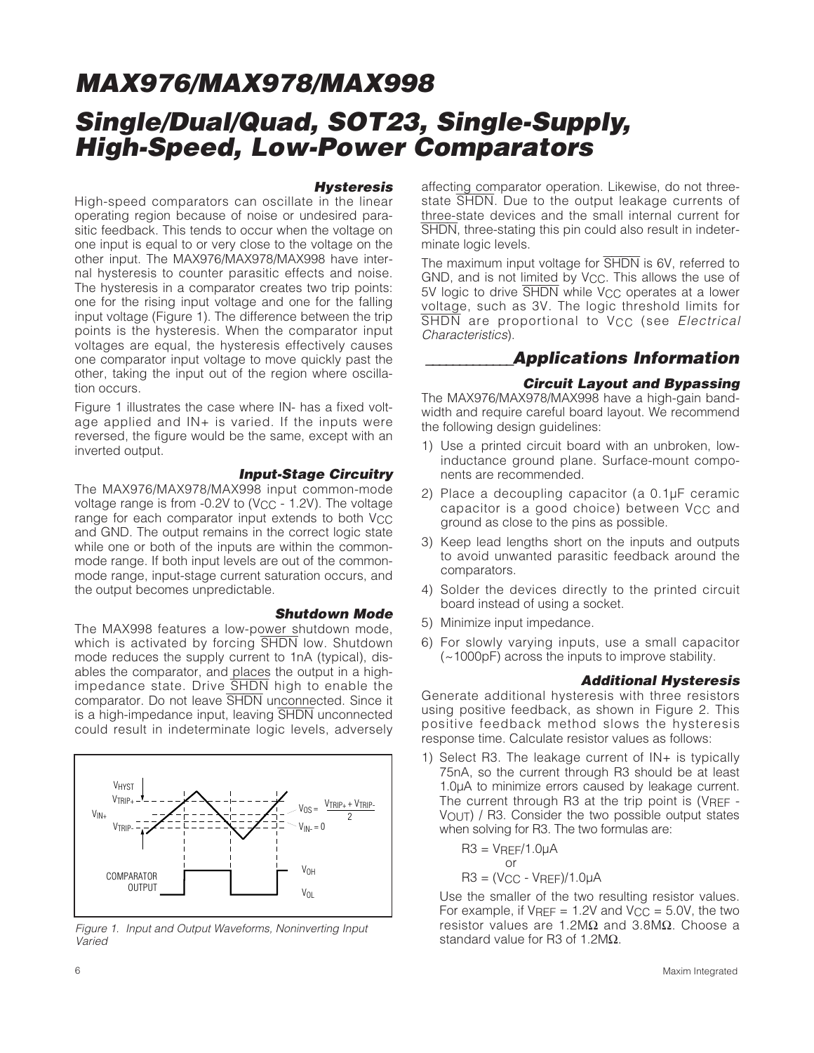#### **Hysteresis**

High-speed comparators can oscillate in the linear operating region because of noise or undesired parasitic feedback. This tends to occur when the voltage on one input is equal to or very close to the voltage on the other input. The MAX976/MAX978/MAX998 have internal hysteresis to counter parasitic effects and noise. The hysteresis in a comparator creates two trip points: one for the rising input voltage and one for the falling input voltage (Figure 1). The difference between the trip points is the hysteresis. When the comparator input voltages are equal, the hysteresis effectively causes one comparator input voltage to move quickly past the other, taking the input out of the region where oscillation occurs.

Figure 1 illustrates the case where IN- has a fixed voltage applied and IN+ is varied. If the inputs were reversed, the figure would be the same, except with an inverted output.

### **Input-Stage Circuitry**

The MAX976/MAX978/MAX998 input common-mode voltage range is from  $-0.2V$  to (V<sub>CC</sub> - 1.2V). The voltage range for each comparator input extends to both Vcc and GND. The output remains in the correct logic state while one or both of the inputs are within the commonmode range. If both input levels are out of the commonmode range, input-stage current saturation occurs, and the output becomes unpredictable.

#### **Shutdown Mode**

The MAX998 features a low-power shutdown mode, which is activated by forcing SHDN low. Shutdown mode reduces the supply current to 1nA (typical), disables the comparator, and places the output in a highimpedance state. Drive SHDN high to enable the comparator. Do not leave SHDN unconnected. Since it is a high-impedance input, leaving SHDN unconnected could result in indeterminate logic levels, adversely



Figure 1. Input and Output Waveforms, Noninverting Input Varied

affecting comparator operation. Likewise, do not threestate **SHDN**. Due to the output leakage currents of three-state devices and the small internal current for SHDN, three-stating this pin could also result in indeterminate logic levels.

The maximum input voltage for SHDN is 6V, referred to GND, and is not limited by V<sub>CC</sub>. This allows the use of 5V logic to drive SHDN while V<sub>CC</sub> operates at a lower voltage, such as 3V. The logic threshold limits for SHDN are proportional to V<sub>CC</sub> (see Electrical Characteristics).

### **\_\_\_\_\_\_\_\_\_\_\_\_\_Applications Information**

### **Circuit Layout and Bypassing**

The MAX976/MAX978/MAX998 have a high-gain bandwidth and require careful board layout. We recommend the following design guidelines:

- 1) Use a printed circuit board with an unbroken, lowinductance ground plane. Surface-mount components are recommended.
- 2) Place a decoupling capacitor (a 0.1µF ceramic capacitor is a good choice) between V<sub>CC</sub> and ground as close to the pins as possible.
- 3) Keep lead lengths short on the inputs and outputs to avoid unwanted parasitic feedback around the comparators.
- 4) Solder the devices directly to the printed circuit board instead of using a socket.
- 5) Minimize input impedance.
- 6) For slowly varying inputs, use a small capacitor (~1000pF) across the inputs to improve stability.

#### **Additional Hysteresis**

Generate additional hysteresis with three resistors using positive feedback, as shown in Figure 2. This positive feedback method slows the hysteresis response time. Calculate resistor values as follows:

1) Select R3. The leakage current of IN+ is typically 75nA, so the current through R3 should be at least 1.0µA to minimize errors caused by leakage current. The current through R3 at the trip point is (VREF -VOUT) / R3. Consider the two possible output states when solving for R3. The two formulas are:

R3 = VREF/1.0µA or R3 = (VCC - VREF)/1.0µA

Use the smaller of the two resulting resistor values. For example, if  $V_{REF} = 1.2V$  and  $V_{CC} = 5.0V$ , the two resistor values are 1.2MΩ and 3.8MΩ. Choose a standard value for R3 of 1.2MΩ.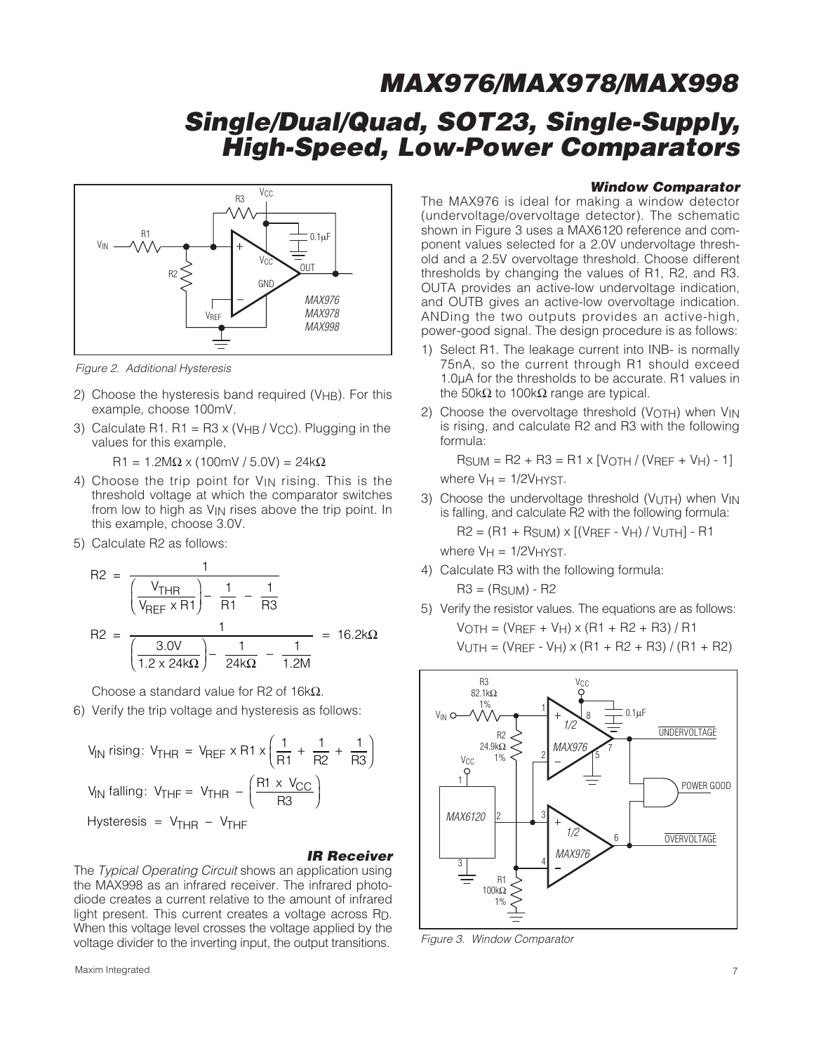

Figure 2. Additional Hysteresis

- 2) Choose the hysteresis band required ( $V_{HB}$ ). For this example, choose 100mV.
- 3) Calculate R1. R1 = R3 x (V $_{HB}$  / V<sub>CC</sub>). Plugging in the values for this example,

 $R1 = 1.2MΩ × (100mV / 5.0V) = 24kΩ$ 

- 4) Choose the trip point for VIN rising. This is the threshold voltage at which the comparator switches from low to high as  $V_{IN}$  rises above the trip point. In this example, choose 3.0V.
- 5) Calculate R2 as follows:

$$
R2 = \frac{1}{\left(\frac{V_{THR}}{V_{REF} \times R1}\right) - \frac{1}{R1} - \frac{1}{R3}}
$$

$$
R2 = \frac{1}{\left(\frac{3.0V}{1.2 \times 24k\Omega}\right) - \frac{1}{24k\Omega} - \frac{1}{1.2M}} = 16.2k\Omega
$$

Choose a standard value for R2 of 16kΩ.

6) Verify the trip voltage and hysteresis as follows:

$$
V_{IN} \text{ rising: } V_{THR} = V_{REF} \times R1 \times \left(\frac{1}{R1} + \frac{1}{R2} + \frac{1}{R3}\right)
$$
  

$$
V_{IN} \text{ falling: } V_{THF} = V_{THR} - \left(\frac{R1 \times V_{CC}}{R3}\right)
$$
  
Hysteresis = V<sub>THR</sub> - V<sub>THF</sub>

#### **IR Receiver**

The Typical Operating Circuit shows an application using the MAX998 as an infrared receiver. The infrared photodiode creates a current relative to the amount of infrared light present. This current creates a voltage across RD. When this voltage level crosses the voltage applied by the voltage divider to the inverting input, the output transitions.

The MAX976 is ideal for making a window detector (undervoltage/overvoltage detector). The schematic shown in Figure 3 uses a MAX6120 reference and component values selected for a 2.0V undervoltage threshold and a 2.5V overvoltage threshold. Choose different thresholds by changing the values of R1, R2, and R3. OUTA provides an active-low undervoltage indication, and OUTB gives an active-low overvoltage indication. ANDing the two outputs provides an active-high, power-good signal. The design procedure is as follows:

**Window Comparator**

- 1) Select R1. The leakage current into INB- is normally 75nA, so the current through R1 should exceed 1.0µA for the thresholds to be accurate. R1 values in the 50kΩ to 100kΩ range are typical.
- 2) Choose the overvoltage threshold (VOTH) when V<sub>IN</sub> is rising, and calculate R2 and R3 with the following formula:

 $RSUM = R2 + R3 = R1 \times [VOTH / (VREF + VH) - 1]$ where  $V_H = 1/2V_H$  YST.

3) Choose the undervoltage threshold ( $V_{\text{UTH}}$ ) when  $V_{\text{IN}}$ is falling, and calculate R2 with the following formula: R2 = (R1 + RSUM) x [(VREF - VH) / VUTH] - R1

where  $V_H = 1/2V_H$  YST.

4) Calculate R3 with the following formula:

 $R3 = (R_{SUM}) - R2$ 

5) Verify the resistor values. The equations are as follows:  $V$ OTH = ( $V$ REF +  $V$ H) x (R1 + R2 + R3) / R1  $V$ UTH = ( $V$ REF -  $V$ H) x (R1 + R2 + R3) / (R1 + R2)



Figure 3. Window Comparator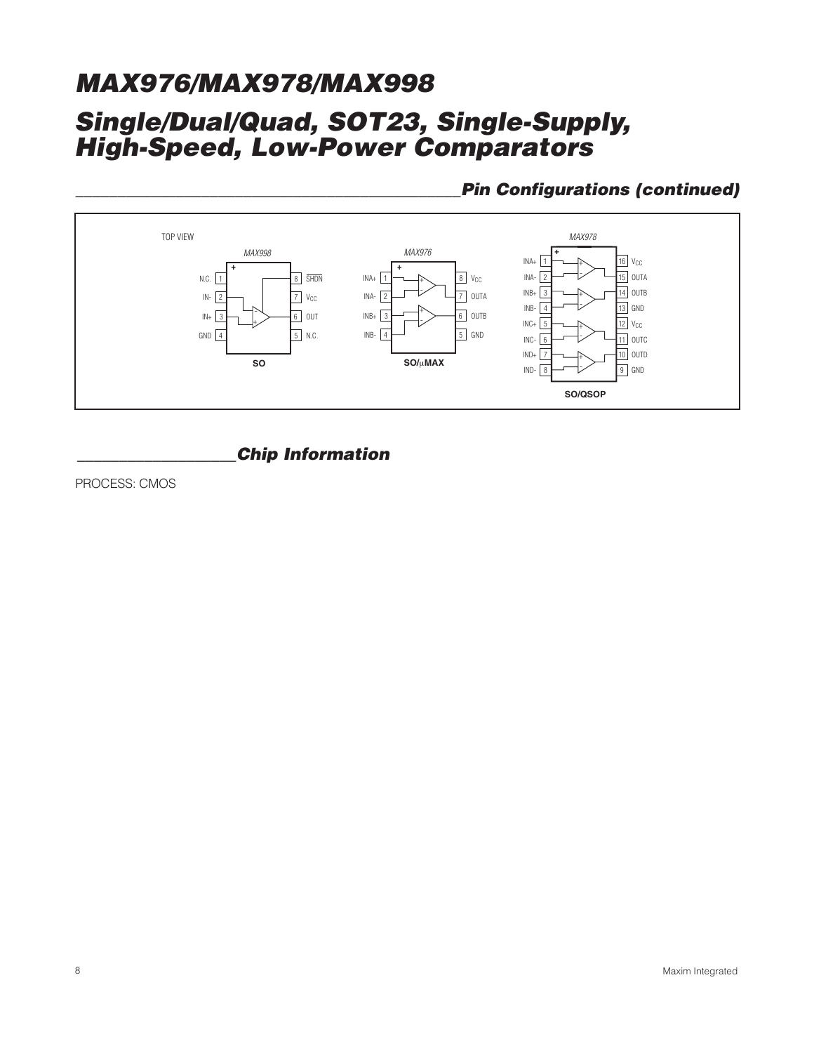### **\_\_\_\_\_\_\_\_\_\_\_\_\_\_\_\_\_\_\_\_\_\_\_\_\_\_\_\_\_\_\_\_\_\_\_\_\_\_\_\_\_\_\_\_\_\_Pin Configurations (continued)**



### **\_\_\_\_\_\_\_\_\_\_\_\_\_\_\_\_\_\_\_Chip Information**

PROCESS: CMOS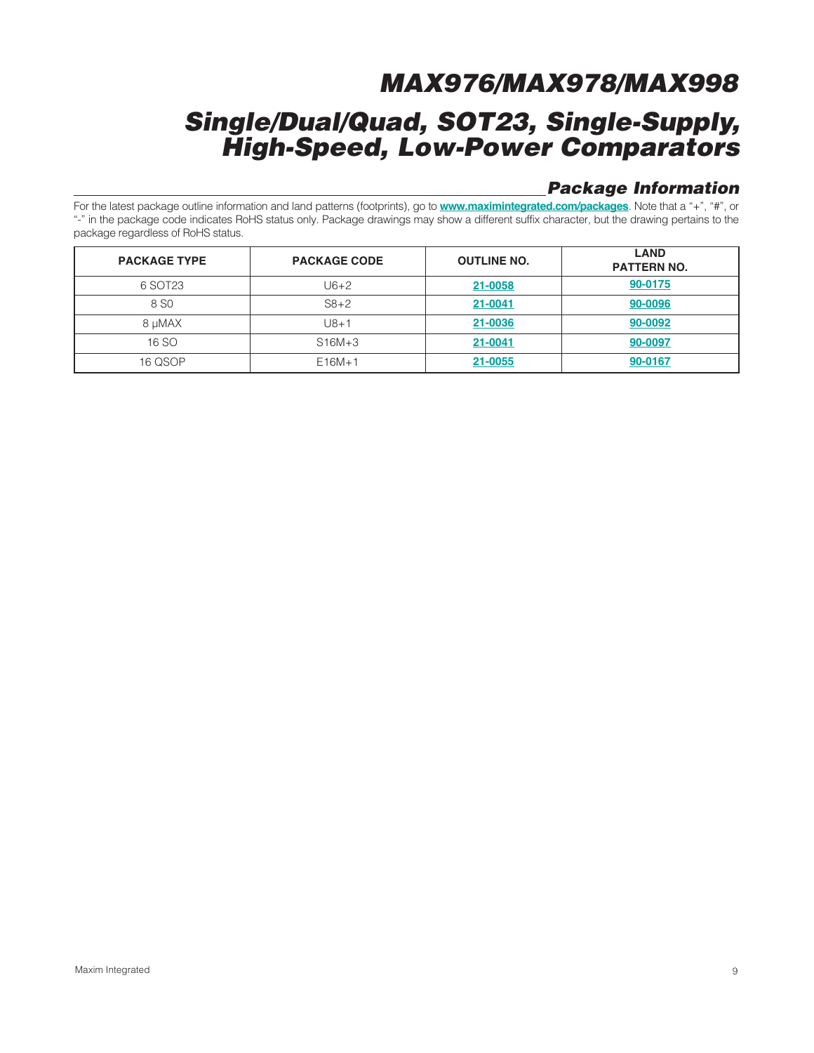### **Single/Dual/Quad, SOT23, Single-Supply, High-Speed, Low-Power Comparators**

### **Package Information**

For the latest package outline information and land patterns (footprints), go to **www.maximintegrated.com/packages**. Note that a "+", "#", or "-" in the package code indicates RoHS status only. Package drawings may show a different suffix character, but the drawing pertains to the package regardless of RoHS status.

| <b>PACKAGE TYPE</b> | <b>PACKAGE CODE</b> | <b>OUTLINE NO.</b> | <b>LAND</b><br><b>PATTERN NO.</b> |
|---------------------|---------------------|--------------------|-----------------------------------|
| 6 SOT23             | U6+2                | 21-0058            | 90-0175                           |
| 8 SO                | $S8+2$              | 21-0041            | 90-0096                           |
| 8 µMAX              | $J8 + 1$            | 21-0036            | 90-0092                           |
| 16 SO               | $S16M+3$            | 21-0041            | 90-0097                           |
| 16 QSOP             | $E16M+1$            | 21-0055            | 90-0167                           |